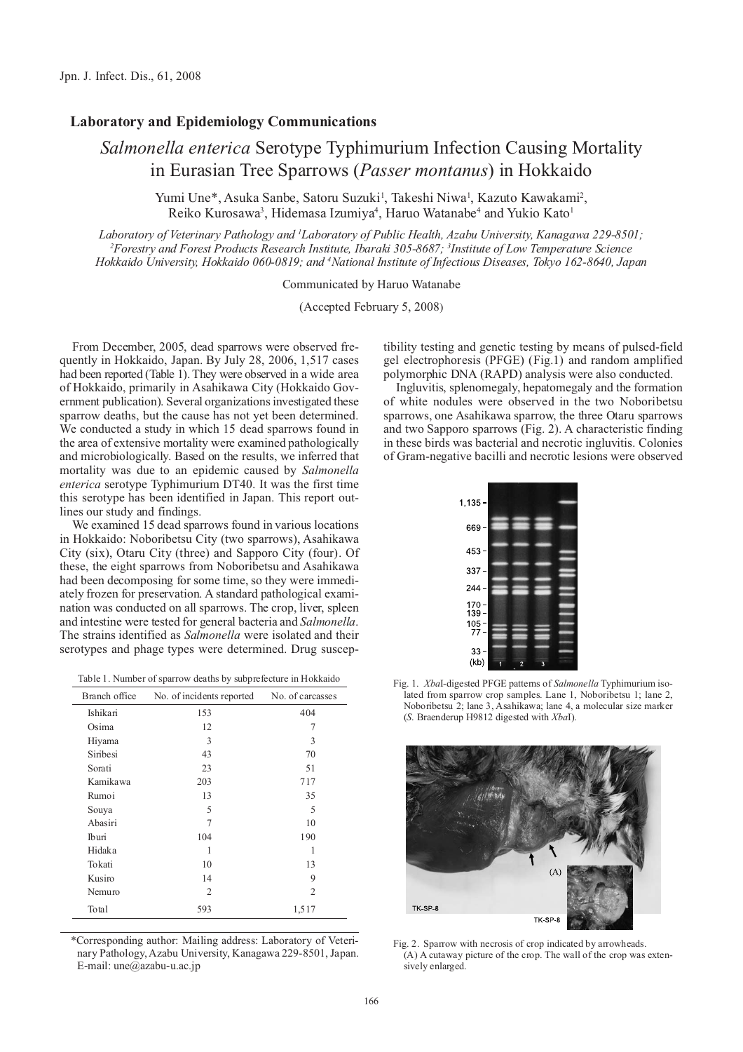## **Laboratory and Epidemiology Communications**

## *Salmonella enterica* Serotype Typhimurium Infection Causing Mortality in Eurasian Tree Sparrows (*Passer montanus*) in Hokkaido

Yumi Une\*, Asuka Sanbe, Satoru Suzuki<sup>1</sup>, Takeshi Niwa<sup>1</sup>, Kazuto Kawakami<sup>2</sup>, Reiko Kurosawa<sup>3</sup>, Hidemasa Izumiya<sup>4</sup>, Haruo Watanabe<sup>4</sup> and Yukio Kato<sup>1</sup>

*Laboratory of Veterinary Pathology and 1 Laboratory of Public Health, Azabu University, Kanagawa 229-8501; 2 Forestry and Forest Products Research Institute, Ibaraki 305-8687; 3 Institute of Low Temperature Science Hokkaido University, Hokkaido 060-0819; and 4 National Institute of Infectious Diseases, Tokyo 162-8640, Japan*

Communicated by Haruo Watanabe

(Accepted February 5, 2008)

From December, 2005, dead sparrows were observed frequently in Hokkaido, Japan. By July 28, 2006, 1,517 cases had been reported (Table 1). They were observed in a wide area of Hokkaido, primarily in Asahikawa City (Hokkaido Government publication). Several organizations investigated these sparrow deaths, but the cause has not yet been determined. We conducted a study in which 15 dead sparrows found in the area of extensive mortality were examined pathologically and microbiologically. Based on the results, we inferred that mortality was due to an epidemic caused by *Salmonella enterica* serotype Typhimurium DT40. It was the first time this serotype has been identified in Japan. This report outlines our study and findings.

We examined 15 dead sparrows found in various locations in Hokkaido: Noboribetsu City (two sparrows), Asahikawa City (six), Otaru City (three) and Sapporo City (four). Of these, the eight sparrows from Noboribetsu and Asahikawa had been decomposing for some time, so they were immediately frozen for preservation. A standard pathological examination was conducted on all sparrows. The crop, liver, spleen and intestine were tested for general bacteria and *Salmonella*. The strains identified as *Salmonella* were isolated and their serotypes and phage types were determined. Drug suscep-

|  |  |  |  | Table 1. Number of sparrow deaths by subprefecture in Hokkaido |  |
|--|--|--|--|----------------------------------------------------------------|--|
|--|--|--|--|----------------------------------------------------------------|--|

| Branch office | No. of incidents reported | No. of carcasses |
|---------------|---------------------------|------------------|
| Ishikari      | 153                       | 404              |
| Osima         | 12                        | 7                |
| Hiyama        | 3                         | 3                |
| Siribesi      | 43                        | 70               |
| Sorati        | 23                        | 51               |
| Kamikawa      | 203                       | 717              |
| Rumoi         | 13                        | 35               |
| Souya         | 5                         | 5                |
| Abasiri       | 7                         | 10               |
| Iburi         | 104                       | 190              |
| Hidaka        | 1                         |                  |
| Tokati        | 10                        | 13               |
| Kusiro        | 14                        | 9                |
| Nemuro        | 2                         | 2                |
| Total         | 593                       | 1,517            |

\*Corresponding author: Mailing address: Laboratory of Veterinary Pathology, Azabu University, Kanagawa 229-8501, Japan. E-mail: une@azabu-u.ac.jp

tibility testing and genetic testing by means of pulsed-field gel electrophoresis (PFGE) (Fig.1) and random amplified polymorphic DNA (RAPD) analysis were also conducted.

Ingluvitis, splenomegaly, hepatomegaly and the formation of white nodules were observed in the two Noboribetsu sparrows, one Asahikawa sparrow, the three Otaru sparrows and two Sapporo sparrows (Fig. 2). A characteristic finding in these birds was bacterial and necrotic ingluvitis. Colonies of Gram-negative bacilli and necrotic lesions were observed



Fig. 1. *Xba*I-digested PFGE patterns of *Salmonella* Typhimurium isolated from sparrow crop samples. Lane 1, Noboribetsu 1; lane 2, Noboribetsu 2; lane 3, Asahikawa; lane 4, a molecular size marker (*S*. Braenderup H9812 digested with *Xba*I).



Fig. 2. Sparrow with necrosis of crop indicated by arrowheads. (A) A cutaway picture of the crop. The wall of the crop was extensively enlarged.